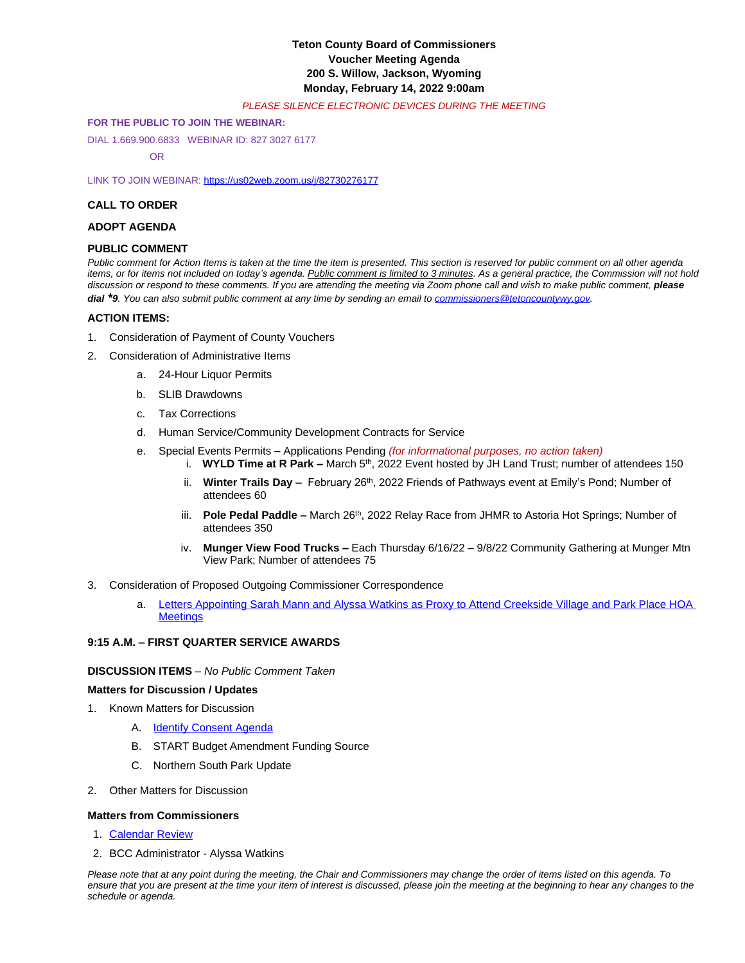# **Teton County Board of Commissioners Voucher Meeting Agenda 200 S. Willow, Jackson, Wyoming Monday, February 14, 2022 9:00am**

### *PLEASE SILENCE ELECTRONIC DEVICES DURING THE MEETING*

### **FOR THE PUBLIC TO JOIN THE WEBINAR:**

DIAL 1.669.900.6833 WEBINAR ID: 827 3027 6177

OR

LINK TO JOIN WEBINAR: <https://us02web.zoom.us/j/82730276177>

### **CALL TO ORDER**

## **ADOPT AGENDA**

## **PUBLIC COMMENT**

*Public comment for Action Items is taken at the time the item is presented. This section is reserved for public comment on all other agenda*  items, or for items not included on today's agenda. Public comment is limited to 3 minutes. As a general practice, the Commission will not hold discussion or respond to these comments. If you are attending the meeting via Zoom phone call and wish to make public comment, **please** *dial \*9. You can also submit public comment at any time by sending an email to [commissioners@tetoncountywy.gov.](mailto:commissioners@tetoncountywy.gov)*

### **[ACTION ITEMS:](mailto:commissioners@tetoncountywy.gov)**

- 1. [Consideration of](mailto:commissioners@tetoncountywy.gov) [Payment](mailto:commissioners@tetoncountywy.gov) [of County Vouchers](mailto:commissioners@tetoncountywy.gov)
- 2. [Consideration of Administrative Items](mailto:commissioners@tetoncountywy.gov)
	- a. [24-Hour Liquor Permits](mailto:commissioners@tetoncountywy.gov)
	- b. [SLIB](mailto:commissioners@tetoncountywy.gov) [Drawdowns](mailto:commissioners@tetoncountywy.gov)
	- c. [Tax Corrections](mailto:commissioners@tetoncountywy.gov)
	- d. [Human Service/Community Development Contracts for Service](mailto:commissioners@tetoncountywy.gov)
	- e. [Special Events Permits](mailto:commissioners@tetoncountywy.gov)  [Applications Pending](mailto:commissioners@tetoncountywy.gov) *[\(for informational purposes, no action taken\)](mailto:commissioners@tetoncountywy.gov)*
		- i. **[WYLD Time at R Park](mailto:commissioners@tetoncountywy.gov) –** [March 5](mailto:commissioners@tetoncountywy.gov)<sup>[th](mailto:commissioners@tetoncountywy.gov)</sup>[, 2022 Event hosted by JH Land Trust; number of attendees 150](mailto:commissioners@tetoncountywy.gov)
		- ii. **[Winter Trails Day](mailto:commissioners@tetoncountywy.gov) –** [February 26](mailto:commissioners@tetoncountywy.gov)<sup>[th](mailto:commissioners@tetoncountywy.gov)</sup>[, 2022 Friends of Pathways event at Emily](mailto:commissioners@tetoncountywy.gov)'s Pond; Number of [attendees 60](mailto:commissioners@tetoncountywy.gov)
		- iii. **[Pole Pedal Paddle](mailto:commissioners@tetoncountywy.gov) -** [March 26](mailto:commissioners@tetoncountywy.gov)<sup>[th](mailto:commissioners@tetoncountywy.gov)</sup>, 2022 Relay Race from JHMR to Astoria Hot Springs; Number of [attendees 350](mailto:commissioners@tetoncountywy.gov)
		- iv. **[Munger View Food Trucks](mailto:commissioners@tetoncountywy.gov) [–](mailto:commissioners@tetoncountywy.gov)** Each Thursday 6/16/22 – [9/8/22 Community Gathering at Munger Mtn](mailto:commissioners@tetoncountywy.gov)  [View Park; Number of attendees 75](mailto:commissioners@tetoncountywy.gov)
- 3. [Consideration of](mailto:commissioners@tetoncountywy.gov) [Proposed Outgoing Commissioner Correspondence](mailto:commissioners@tetoncountywy.gov)
	- a. [Letters Appointing Sarah Mann and Alyssa Watkins as Proxy to Attend Creekside Village and Park Place HOA](https://tetoncountywy.gov/DocumentCenter/View/21246/Proxy-Letters)  **Meetings**

## **9:15 A.M. – FIRST QUARTER SERVICE AWARDS**

### **DISCUSSION ITEMS** *– No Public Comment Taken*

### **Matters for Discussion / Updates**

- 1. Known Matters for Discussion
	- A. [Identify Consent Agenda](https://tetoncountywy.gov/DocumentCenter/View/21238/02-15-22-R-Ag)
	- B. START Budget Amendment Funding Source
	- C. Northern South Park Update
- 2. Other Matters for Discussion

### **Matters from Commissioners**

- 1. [Calendar Review](https://tetoncountywy.gov/DocumentCenter/View/21239/0214-CALENDAR)
- 2. [BCC](https://tetoncountywy.gov/DocumentCenter/View/21239/0214-CALENDAR) [Administrator Alyssa Watkins](https://tetoncountywy.gov/DocumentCenter/View/21239/0214-CALENDAR)

*Please note that at any point during the meeting, the Chair and Commissioners may change the order of items listed on this agenda. To ensure that you are present at the time your item of interest is discussed, please join the meeting at the beginning to hear any changes to the schedule or agenda.*